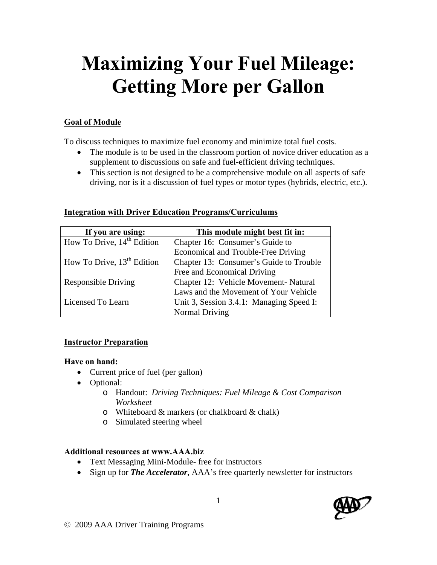# **Maximizing Your Fuel Mileage: Getting More per Gallon**

#### **Goal of Module**

To discuss techniques to maximize fuel economy and minimize total fuel costs.

- The module is to be used in the classroom portion of novice driver education as a supplement to discussions on safe and fuel-efficient driving techniques.
- This section is not designed to be a comprehensive module on all aspects of safe driving, nor is it a discussion of fuel types or motor types (hybrids, electric, etc.).

| If you are using:                      | This module might best fit in:           |
|----------------------------------------|------------------------------------------|
| How To Drive, $14th$ Edition           | Chapter 16: Consumer's Guide to          |
|                                        | Economical and Trouble-Free Driving      |
| How To Drive, 13 <sup>th</sup> Edition | Chapter 13: Consumer's Guide to Trouble  |
|                                        | Free and Economical Driving              |
| <b>Responsible Driving</b>             | Chapter 12: Vehicle Movement-Natural     |
|                                        | Laws and the Movement of Your Vehicle    |
| Licensed To Learn                      | Unit 3, Session 3.4.1: Managing Speed I: |
|                                        | Normal Driving                           |

#### **Integration with Driver Education Programs/Curriculums**

#### **Instructor Preparation**

#### **Have on hand:**

- Current price of fuel (per gallon)
- Optional:
	- o Handout: *Driving Techniques: Fuel Mileage & Cost Comparison Worksheet*
	- o Whiteboard & markers (or chalkboard & chalk)
	- o Simulated steering wheel

#### **Additional resources at www.AAA.biz**

- Text Messaging Mini-Module- free for instructors
- Sign up for *The Accelerator*, AAA's free quarterly newsletter for instructors

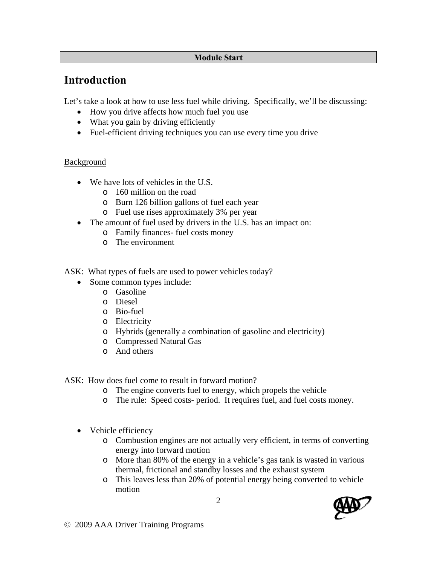#### **Module Start**

## **Introduction**

Let's take a look at how to use less fuel while driving. Specifically, we'll be discussing:

- How you drive affects how much fuel you use
- What you gain by driving efficiently
- Fuel-efficient driving techniques you can use every time you drive

#### Background

- We have lots of vehicles in the U.S.
	- o 160 million on the road
	- o Burn 126 billion gallons of fuel each year
	- o Fuel use rises approximately 3% per year
- The amount of fuel used by drivers in the U.S. has an impact on:
	- o Family finances- fuel costs money
	- o The environment
- ASK: What types of fuels are used to power vehicles today?
	- Some common types include:
		- o Gasoline
		- o Diesel
		- o Bio-fuel
		- o Electricity
		- o Hybrids (generally a combination of gasoline and electricity)
		- o Compressed Natural Gas
		- o And others

ASK: How does fuel come to result in forward motion?

- o The engine converts fuel to energy, which propels the vehicle
- o The rule: Speed costs- period. It requires fuel, and fuel costs money.
- Vehicle efficiency
	- o Combustion engines are not actually very efficient, in terms of converting energy into forward motion
	- o More than 80% of the energy in a vehicle's gas tank is wasted in various thermal, frictional and standby losses and the exhaust system
	- o This leaves less than 20% of potential energy being converted to vehicle motion

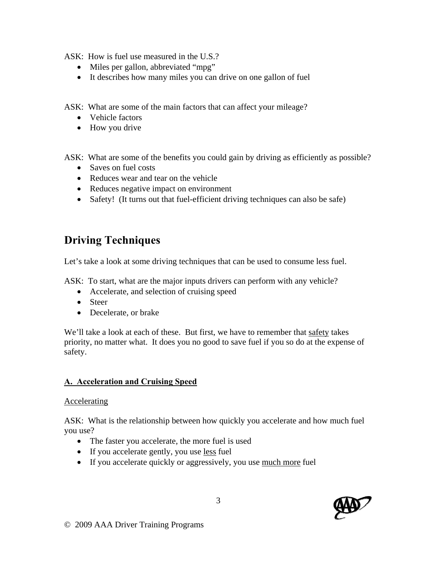ASK: How is fuel use measured in the U.S.?

- Miles per gallon, abbreviated "mpg"
- It describes how many miles you can drive on one gallon of fuel

ASK: What are some of the main factors that can affect your mileage?

- Vehicle factors
- How you drive

ASK: What are some of the benefits you could gain by driving as efficiently as possible?

- Saves on fuel costs
- Reduces wear and tear on the vehicle
- Reduces negative impact on environment
- Safety! (It turns out that fuel-efficient driving techniques can also be safe)

# **Driving Techniques**

Let's take a look at some driving techniques that can be used to consume less fuel.

ASK: To start, what are the major inputs drivers can perform with any vehicle?

- Accelerate, and selection of cruising speed
- Steer
- Decelerate, or brake

We'll take a look at each of these. But first, we have to remember that safety takes priority, no matter what. It does you no good to save fuel if you so do at the expense of safety.

#### **A. Acceleration and Cruising Speed**

#### Accelerating

ASK: What is the relationship between how quickly you accelerate and how much fuel you use?

- The faster you accelerate, the more fuel is used
- If you accelerate gently, you use less fuel
- If you accelerate quickly or aggressively, you use much more fuel

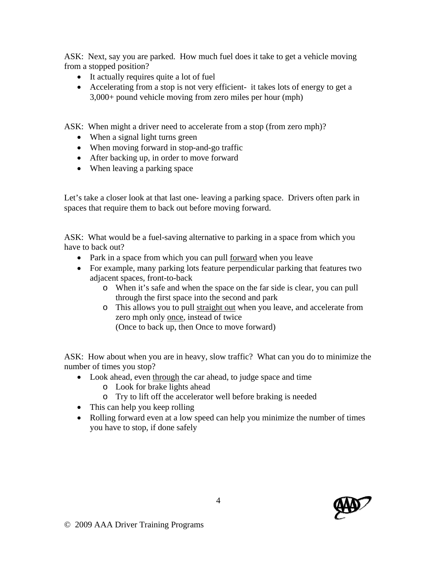ASK: Next, say you are parked. How much fuel does it take to get a vehicle moving from a stopped position?

- It actually requires quite a lot of fuel
- Accelerating from a stop is not very efficient- it takes lots of energy to get a 3,000+ pound vehicle moving from zero miles per hour (mph)

ASK: When might a driver need to accelerate from a stop (from zero mph)?

- When a signal light turns green
- When moving forward in stop-and-go traffic
- After backing up, in order to move forward
- When leaving a parking space

Let's take a closer look at that last one- leaving a parking space. Drivers often park in spaces that require them to back out before moving forward.

ASK: What would be a fuel-saving alternative to parking in a space from which you have to back out?

- Park in a space from which you can pull <u>forward</u> when you leave
- For example, many parking lots feature perpendicular parking that features two adjacent spaces, front-to-back
	- o When it's safe and when the space on the far side is clear, you can pull through the first space into the second and park
	- o This allows you to pull straight out when you leave, and accelerate from zero mph only once, instead of twice

(Once to back up, then Once to move forward)

ASK: How about when you are in heavy, slow traffic? What can you do to minimize the number of times you stop?

- Look ahead, even through the car ahead, to judge space and time
	- o Look for brake lights ahead
	- o Try to lift off the accelerator well before braking is needed
- This can help you keep rolling
- Rolling forward even at a low speed can help you minimize the number of times you have to stop, if done safely

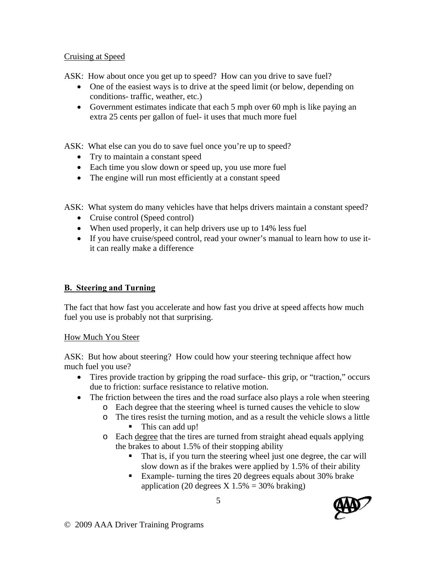#### Cruising at Speed

ASK: How about once you get up to speed? How can you drive to save fuel?

- One of the easiest ways is to drive at the speed limit (or below, depending on conditions- traffic, weather, etc.)
- Government estimates indicate that each 5 mph over 60 mph is like paying an extra 25 cents per gallon of fuel- it uses that much more fuel

ASK: What else can you do to save fuel once you're up to speed?

- Try to maintain a constant speed
- Each time you slow down or speed up, you use more fuel
- The engine will run most efficiently at a constant speed

ASK: What system do many vehicles have that helps drivers maintain a constant speed?

- Cruise control (Speed control)
- When used properly, it can help drivers use up to 14% less fuel
- If you have cruise/speed control, read your owner's manual to learn how to use itit can really make a difference

#### **B. Steering and Turning**

The fact that how fast you accelerate and how fast you drive at speed affects how much fuel you use is probably not that surprising.

#### How Much You Steer

ASK: But how about steering? How could how your steering technique affect how much fuel you use?

- Tires provide traction by gripping the road surface- this grip, or "traction," occurs due to friction: surface resistance to relative motion.
- The friction between the tires and the road surface also plays a role when steering
	- o Each degree that the steering wheel is turned causes the vehicle to slow
	- o The tires resist the turning motion, and as a result the vehicle slows a little • This can add up!
	- o Each degree that the tires are turned from straight ahead equals applying the brakes to about 1.5% of their stopping ability
		- That is, if you turn the steering wheel just one degree, the car will slow down as if the brakes were applied by 1.5% of their ability
		- Example- turning the tires 20 degrees equals about 30% brake application (20 degrees  $X$  1.5% = 30% braking)

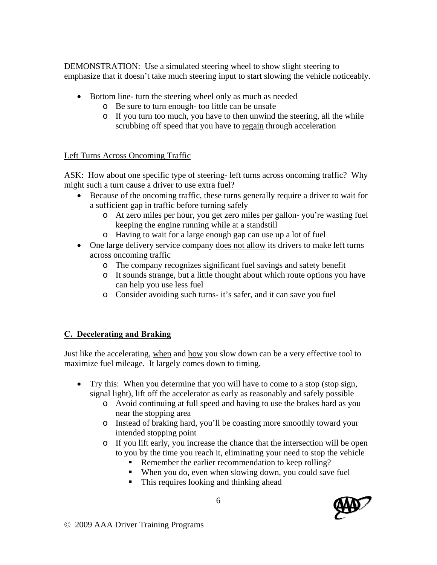DEMONSTRATION: Use a simulated steering wheel to show slight steering to emphasize that it doesn't take much steering input to start slowing the vehicle noticeably.

- Bottom line- turn the steering wheel only as much as needed
	- o Be sure to turn enough- too little can be unsafe
	- o If you turn too much, you have to then unwind the steering, all the while scrubbing off speed that you have to regain through acceleration

#### Left Turns Across Oncoming Traffic

ASK: How about one specific type of steering- left turns across oncoming traffic? Why might such a turn cause a driver to use extra fuel?

- Because of the oncoming traffic, these turns generally require a driver to wait for a sufficient gap in traffic before turning safely
	- o At zero miles per hour, you get zero miles per gallon- you're wasting fuel keeping the engine running while at a standstill
	- o Having to wait for a large enough gap can use up a lot of fuel
- One large delivery service company does not allow its drivers to make left turns across oncoming traffic
	- o The company recognizes significant fuel savings and safety benefit
	- o It sounds strange, but a little thought about which route options you have can help you use less fuel
	- o Consider avoiding such turns- it's safer, and it can save you fuel

#### **C. Decelerating and Braking**

Just like the accelerating, when and how you slow down can be a very effective tool to maximize fuel mileage. It largely comes down to timing.

- Try this: When you determine that you will have to come to a stop (stop sign, signal light), lift off the accelerator as early as reasonably and safely possible
	- o Avoid continuing at full speed and having to use the brakes hard as you near the stopping area
	- o Instead of braking hard, you'll be coasting more smoothly toward your intended stopping point
	- o If you lift early, you increase the chance that the intersection will be open to you by the time you reach it, eliminating your need to stop the vehicle
		- Remember the earlier recommendation to keep rolling?
		- When you do, even when slowing down, you could save fuel
		- This requires looking and thinking ahead

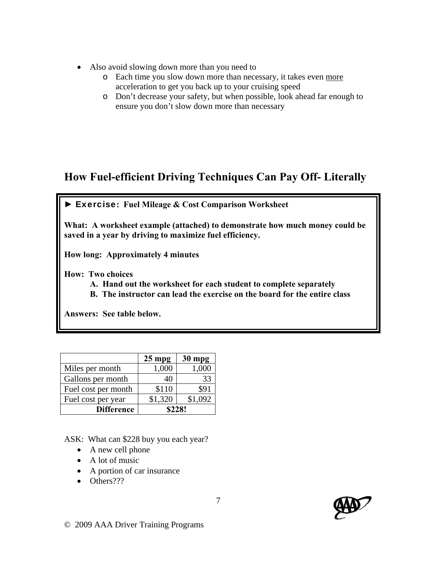- Also avoid slowing down more than you need to
	- o Each time you slow down more than necessary, it takes even more acceleration to get you back up to your cruising speed
	- o Don't decrease your safety, but when possible, look ahead far enough to ensure you don't slow down more than necessary

# **How Fuel-efficient Driving Techniques Can Pay Off- Literally**



**What: A worksheet example (attached) to demonstrate how much money could be saved in a year by driving to maximize fuel efficiency.** 

**How long: Approximately 4 minutes** 

**How: Two choices** 

- **A. Hand out the worksheet for each student to complete separately**
- **B. The instructor can lead the exercise on the board for the entire class**

**Answers: See table below.** 

|                     | $25$ mpg | $30$ mpg |
|---------------------|----------|----------|
| Miles per month     | 1,000    | 1,000    |
| Gallons per month   | 40       | 33       |
| Fuel cost per month | \$110    | \$91     |
| Fuel cost per year  | \$1,320  | \$1,092  |
| <b>Difference</b>   | \$228!   |          |

ASK: What can \$228 buy you each year?

- A new cell phone
- A lot of music
- A portion of car insurance
- Others???

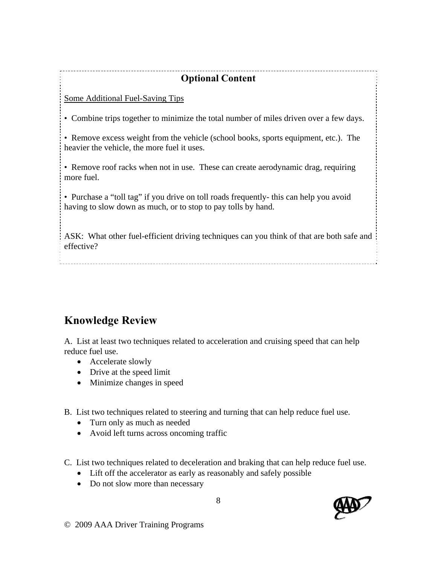# **Optional Content**

Some Additional Fuel-Saving Tips

• Combine trips together to minimize the total number of miles driven over a few days.

• Remove excess weight from the vehicle (school books, sports equipment, etc.). The heavier the vehicle, the more fuel it uses.

• Remove roof racks when not in use. These can create aerodynamic drag, requiring more fuel.

• Purchase a "toll tag" if you drive on toll roads frequently- this can help you avoid having to slow down as much, or to stop to pay tolls by hand.

ASK: What other fuel-efficient driving techniques can you think of that are both safe and effective?

# **Knowledge Review**

A. List at least two techniques related to acceleration and cruising speed that can help reduce fuel use.

- Accelerate slowly
- Drive at the speed limit
- Minimize changes in speed

B. List two techniques related to steering and turning that can help reduce fuel use.

- Turn only as much as needed
- Avoid left turns across oncoming traffic
- C. List two techniques related to deceleration and braking that can help reduce fuel use.
	- Lift off the accelerator as early as reasonably and safely possible
	- Do not slow more than necessary

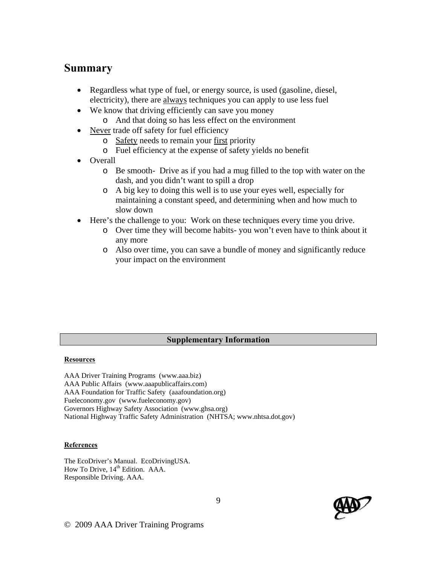### **Summary**

- Regardless what type of fuel, or energy source, is used (gasoline, diesel, electricity), there are always techniques you can apply to use less fuel
- We know that driving efficiently can save you money
	- o And that doing so has less effect on the environment
- Never trade off safety for fuel efficiency
	- o Safety needs to remain your first priority
	- o Fuel efficiency at the expense of safety yields no benefit
- **Overall** 
	- o Be smooth- Drive as if you had a mug filled to the top with water on the dash, and you didn't want to spill a drop
	- o A big key to doing this well is to use your eyes well, especially for maintaining a constant speed, and determining when and how much to slow down
- Here's the challenge to you: Work on these techniques every time you drive.
	- o Over time they will become habits- you won't even have to think about it any more
	- o Also over time, you can save a bundle of money and significantly reduce your impact on the environment

#### **Supplementary Information**

#### **Resources**

AAA Driver Training Programs (www.aaa.biz) AAA Public Affairs (www.aaapublicaffairs.com) AAA Foundation for Traffic Safety (aaafoundation.org) Fueleconomy.gov (www.fueleconomy.gov) Governors Highway Safety Association (www.ghsa.org) National Highway Traffic Safety Administration (NHTSA; www.nhtsa.dot.gov)

#### **References**

The EcoDriver's Manual. EcoDrivingUSA. How To Drive, 14<sup>th</sup> Edition. AAA. Responsible Driving. AAA.